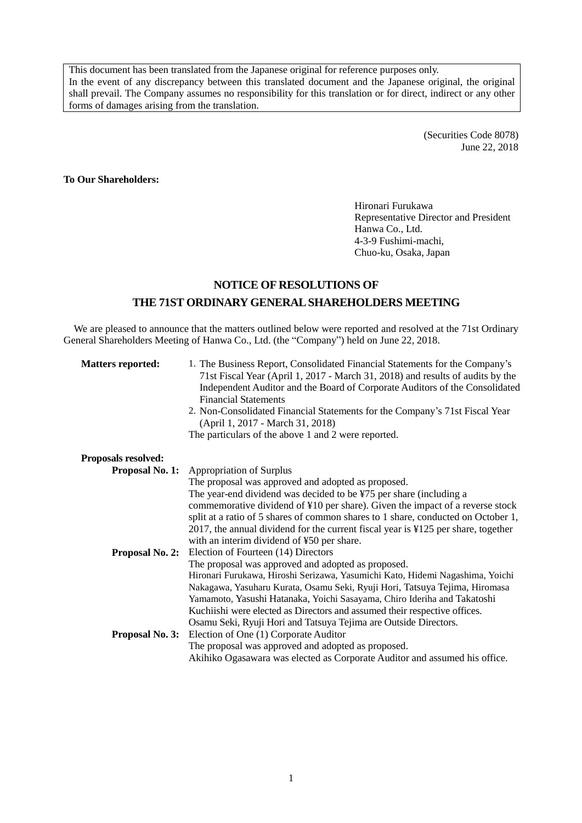This document has been translated from the Japanese original for reference purposes only. In the event of any discrepancy between this translated document and the Japanese original, the original shall prevail. The Company assumes no responsibility for this translation or for direct, indirect or any other forms of damages arising from the translation.

> (Securities Code 8078) June 22, 2018

## **To Our Shareholders:**

Hironari Furukawa Representative Director and President Hanwa Co., Ltd. 4-3-9 Fushimi-machi, Chuo-ku, Osaka, Japan

## **NOTICE OF RESOLUTIONS OF THE 71ST ORDINARY GENERALSHAREHOLDERS MEETING**

We are pleased to announce that the matters outlined below were reported and resolved at the 71st Ordinary General Shareholders Meeting of Hanwa Co., Ltd. (the "Company") held on June 22, 2018.

| <b>Matters reported:</b>   | 1. The Business Report, Consolidated Financial Statements for the Company's<br>71st Fiscal Year (April 1, 2017 - March 31, 2018) and results of audits by the<br>Independent Auditor and the Board of Corporate Auditors of the Consolidated<br><b>Financial Statements</b><br>2. Non-Consolidated Financial Statements for the Company's 71st Fiscal Year<br>(April 1, 2017 - March 31, 2018)<br>The particulars of the above 1 and 2 were reported. |  |
|----------------------------|-------------------------------------------------------------------------------------------------------------------------------------------------------------------------------------------------------------------------------------------------------------------------------------------------------------------------------------------------------------------------------------------------------------------------------------------------------|--|
| <b>Proposals resolved:</b> |                                                                                                                                                                                                                                                                                                                                                                                                                                                       |  |
| <b>Proposal No. 1:</b>     | <b>Appropriation of Surplus</b>                                                                                                                                                                                                                                                                                                                                                                                                                       |  |
|                            | The proposal was approved and adopted as proposed.                                                                                                                                                                                                                                                                                                                                                                                                    |  |
|                            | The year-end dividend was decided to be ¥75 per share (including a                                                                                                                                                                                                                                                                                                                                                                                    |  |
|                            | commemorative dividend of ¥10 per share). Given the impact of a reverse stock                                                                                                                                                                                                                                                                                                                                                                         |  |
|                            | split at a ratio of 5 shares of common shares to 1 share, conducted on October 1,                                                                                                                                                                                                                                                                                                                                                                     |  |
|                            | 2017, the annual dividend for the current fiscal year is $\frac{1}{2}$ per share, together                                                                                                                                                                                                                                                                                                                                                            |  |
|                            | with an interim dividend of ¥50 per share.                                                                                                                                                                                                                                                                                                                                                                                                            |  |
| <b>Proposal No. 2:</b>     | Election of Fourteen (14) Directors                                                                                                                                                                                                                                                                                                                                                                                                                   |  |
|                            | The proposal was approved and adopted as proposed.                                                                                                                                                                                                                                                                                                                                                                                                    |  |
|                            | Hironari Furukawa, Hiroshi Serizawa, Yasumichi Kato, Hidemi Nagashima, Yoichi                                                                                                                                                                                                                                                                                                                                                                         |  |
|                            | Nakagawa, Yasuharu Kurata, Osamu Seki, Ryuji Hori, Tatsuya Tejima, Hiromasa                                                                                                                                                                                                                                                                                                                                                                           |  |
|                            | Yamamoto, Yasushi Hatanaka, Yoichi Sasayama, Chiro Ideriha and Takatoshi                                                                                                                                                                                                                                                                                                                                                                              |  |
|                            | Kuchiishi were elected as Directors and assumed their respective offices.                                                                                                                                                                                                                                                                                                                                                                             |  |
|                            | Osamu Seki, Ryuji Hori and Tatsuya Tejima are Outside Directors.                                                                                                                                                                                                                                                                                                                                                                                      |  |
|                            | <b>Proposal No. 3:</b> Election of One (1) Corporate Auditor                                                                                                                                                                                                                                                                                                                                                                                          |  |
|                            | The proposal was approved and adopted as proposed.                                                                                                                                                                                                                                                                                                                                                                                                    |  |
|                            | Akihiko Ogasawara was elected as Corporate Auditor and assumed his office.                                                                                                                                                                                                                                                                                                                                                                            |  |